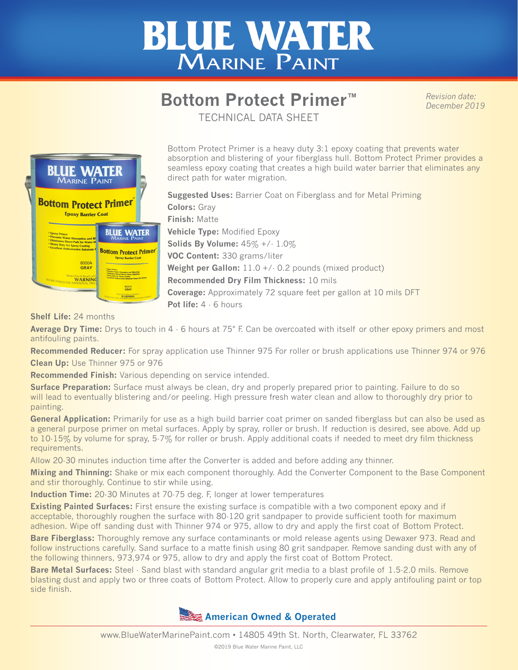## **BLUE WATER** MARINE PAINT

## **Bottom Protect Primer™**

*Revision date: December 2019*

TECHNICAL DATA SHEET



Bottom Protect Primer is a heavy duty 3:1 epoxy coating that prevents water absorption and blistering of your fiberglass hull. Bottom Protect Primer provides a seamless epoxy coating that creates a high build water barrier that eliminates any direct path for water migration.

**Suggested Uses:** Barrier Coat on Fiberglass and for Metal Priming **Colors:** Gray **Finish:** Matte **Vehicle Type:** Modified Epoxy **Solids By Volume:** 45% +/- 1.0% **VOC Content:** 330 grams/liter Weight per Gallon: 11.0 +/- 0.2 pounds (mixed product) **Recommended Dry Film Thickness:** 10 mils **Coverage:** Approximately 72 square feet per gallon at 10 mils DFT **Pot life:** 4 - 6 hours

**Shelf Life:** 24 months

**Average Dry Time:** Drys to touch in 4 - 6 hours at 75° F. Can be overcoated with itself or other epoxy primers and most antifouling paints.

**Recommended Reducer:** For spray application use Thinner 975 For roller or brush applications use Thinner 974 or 976 **Clean Up:** Use Thinner 975 or 976

**Recommended Finish:** Various depending on service intended.

**Surface Preparation:** Surface must always be clean, dry and properly prepared prior to painting. Failure to do so will lead to eventually blistering and/or peeling. High pressure fresh water clean and allow to thoroughly dry prior to painting.

General Application: Primarily for use as a high build barrier coat primer on sanded fiberglass but can also be used as a general purpose primer on metal surfaces. Apply by spray, roller or brush. If reduction is desired, see above. Add up to 10-15% by volume for spray, 5-7% for roller or brush. Apply additional coats if needed to meet dry film thickness requirements.

Allow 20-30 minutes induction time after the Converter is added and before adding any thinner.

**Mixing and Thinning:** Shake or mix each component thoroughly. Add the Converter Component to the Base Component and stir thoroughly. Continue to stir while using.

**Induction Time:** 20-30 Minutes at 70-75 deg. F, longer at lower temperatures

**Existing Painted Surfaces:** First ensure the existing surface is compatible with a two component epoxy and if acceptable, thoroughly roughen the surface with 80-120 grit sandpaper to provide sufficient tooth for maximum adhesion. Wipe off sanding dust with Thinner 974 or 975, allow to dry and apply the first coat of Bottom Protect.

**Bare Fiberglass:** Thoroughly remove any surface contaminants or mold release agents using Dewaxer 973. Read and follow instructions carefully. Sand surface to a matte finish using 80 grit sandpaper. Remove sanding dust with any of the following thinners, 973,974 or 975, allow to dry and apply the first coat of Bottom Protect.

**Bare Metal Surfaces:** Steel - Sand blast with standard angular grit media to a blast profile of 1.5-2.0 mils. Remove blasting dust and apply two or three coats of Bottom Protect. Allow to properly cure and apply antifouling paint or top side finish.